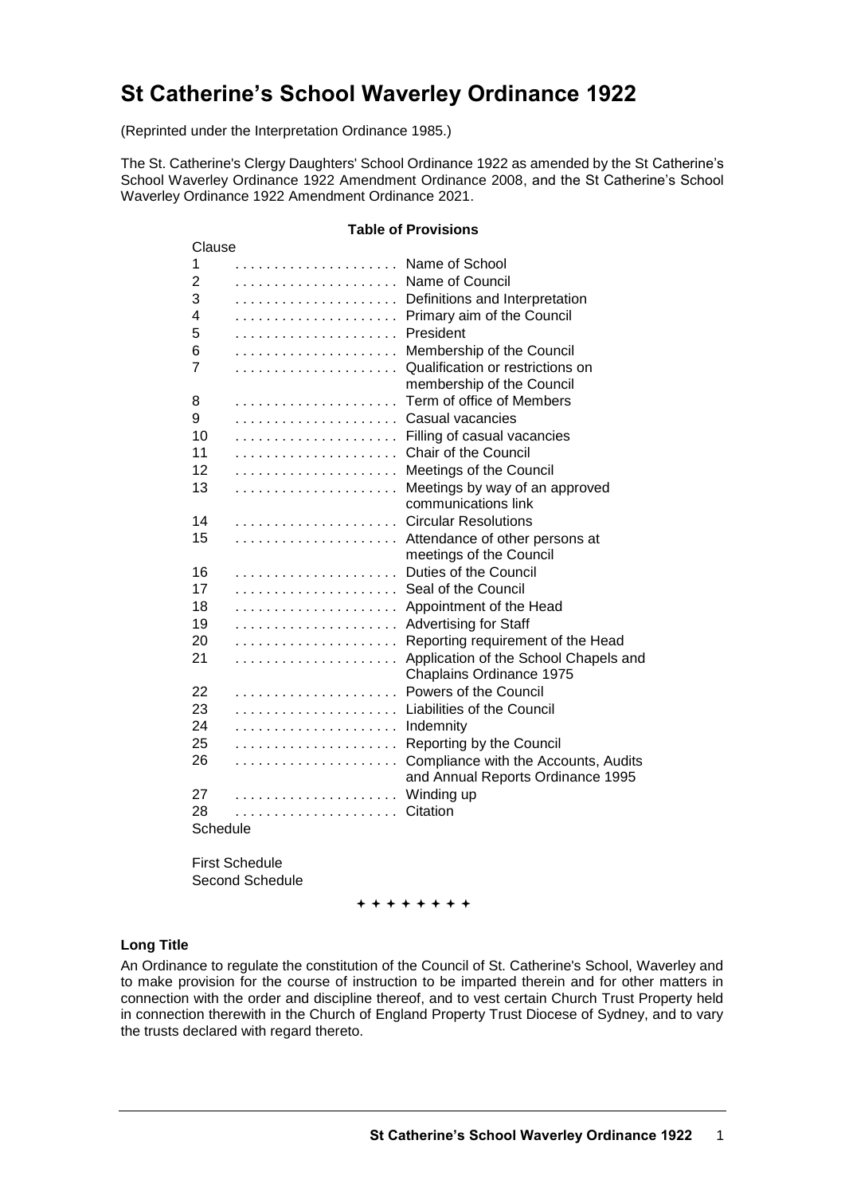# **St Catherine's School Waverley Ordinance 1922**

(Reprinted under the Interpretation Ordinance 1985.)

The St. Catherine's Clergy Daughters' School Ordinance 1922 as amended by the St Catherine's School Waverley Ordinance 1922 Amendment Ordinance 2008, and the St Catherine's School Waverley Ordinance 1922 Amendment Ordinance 2021.

#### **Table of Provisions**

| Clause   |   |                                       |  |  |  |  |  |  |
|----------|---|---------------------------------------|--|--|--|--|--|--|
| 1        |   | Name of School                        |  |  |  |  |  |  |
| 2        |   | Name of Council                       |  |  |  |  |  |  |
| 3        |   | Definitions and Interpretation        |  |  |  |  |  |  |
| 4        |   | Primary aim of the Council            |  |  |  |  |  |  |
| 5        |   | President                             |  |  |  |  |  |  |
| 6        |   | Membership of the Council             |  |  |  |  |  |  |
| 7        |   | Qualification or restrictions on      |  |  |  |  |  |  |
|          |   | membership of the Council             |  |  |  |  |  |  |
| 8        |   | Term of office of Members             |  |  |  |  |  |  |
| 9        |   | Casual vacancies                      |  |  |  |  |  |  |
| 10       | . | Filling of casual vacancies           |  |  |  |  |  |  |
| 11       |   | Chair of the Council                  |  |  |  |  |  |  |
| 12       |   | Meetings of the Council               |  |  |  |  |  |  |
| 13       |   | Meetings by way of an approved        |  |  |  |  |  |  |
|          |   | communications link                   |  |  |  |  |  |  |
| 14       |   | <b>Circular Resolutions</b>           |  |  |  |  |  |  |
| 15       |   | Attendance of other persons at        |  |  |  |  |  |  |
|          |   | meetings of the Council               |  |  |  |  |  |  |
| 16       |   | Duties of the Council                 |  |  |  |  |  |  |
| 17       |   | Seal of the Council                   |  |  |  |  |  |  |
| 18       |   | Appointment of the Head               |  |  |  |  |  |  |
| 19       |   | <b>Advertising for Staff</b>          |  |  |  |  |  |  |
| 20       |   | Reporting requirement of the Head     |  |  |  |  |  |  |
| 21       |   | Application of the School Chapels and |  |  |  |  |  |  |
|          |   | Chaplains Ordinance 1975              |  |  |  |  |  |  |
| 22       |   | Powers of the Council                 |  |  |  |  |  |  |
| 23       | . | <b>Liabilities of the Council</b>     |  |  |  |  |  |  |
| 24       |   | Indemnity                             |  |  |  |  |  |  |
| 25       |   | Reporting by the Council              |  |  |  |  |  |  |
| 26       |   | Compliance with the Accounts, Audits  |  |  |  |  |  |  |
|          |   | and Annual Reports Ordinance 1995     |  |  |  |  |  |  |
| 27       |   | Winding up                            |  |  |  |  |  |  |
| 28       |   | Citation                              |  |  |  |  |  |  |
| Schedule |   |                                       |  |  |  |  |  |  |

First Schedule Second Schedule

++++++++

#### **Long Title**

An Ordinance to regulate the constitution of the Council of St. Catherine's School, Waverley and to make provision for the course of instruction to be imparted therein and for other matters in connection with the order and discipline thereof, and to vest certain Church Trust Property held in connection therewith in the Church of England Property Trust Diocese of Sydney, and to vary the trusts declared with regard thereto.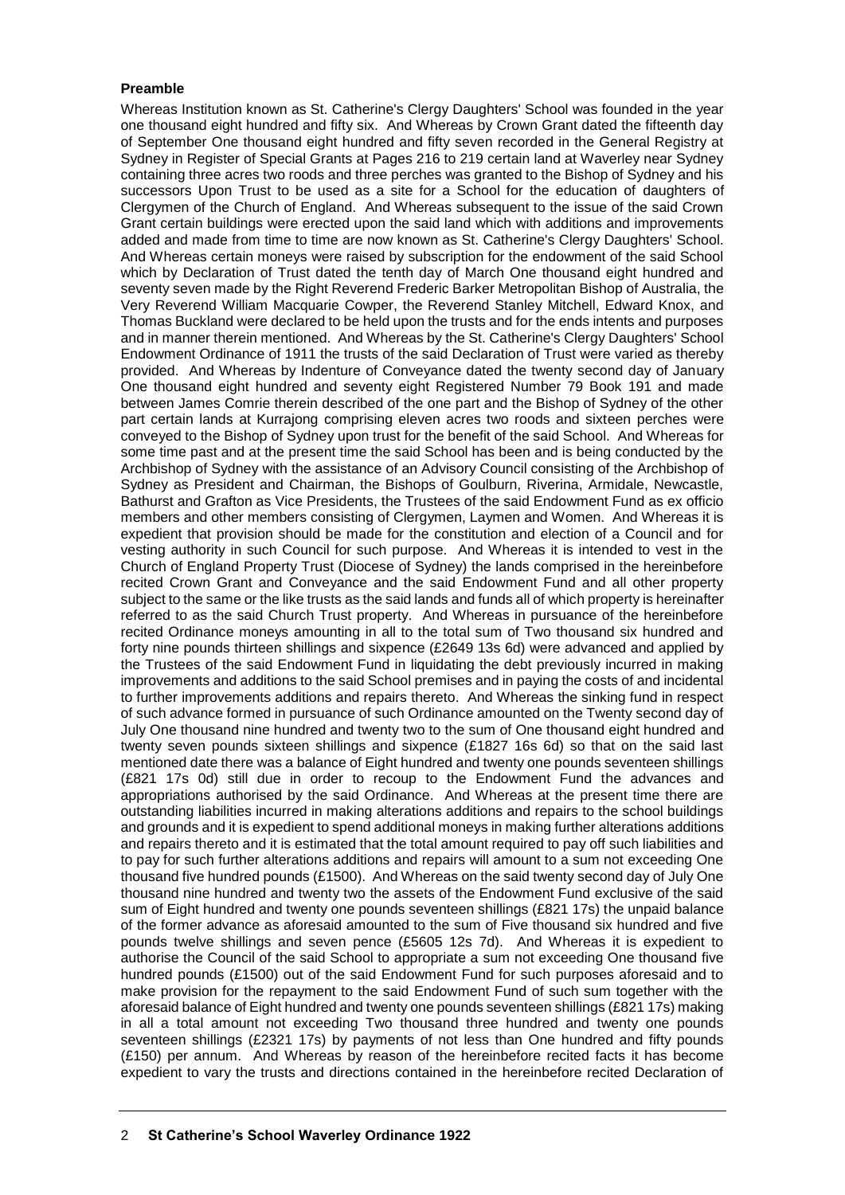#### **Preamble**

Whereas Institution known as St. Catherine's Clergy Daughters' School was founded in the year one thousand eight hundred and fifty six. And Whereas by Crown Grant dated the fifteenth day of September One thousand eight hundred and fifty seven recorded in the General Registry at Sydney in Register of Special Grants at Pages 216 to 219 certain land at Waverley near Sydney containing three acres two roods and three perches was granted to the Bishop of Sydney and his successors Upon Trust to be used as a site for a School for the education of daughters of Clergymen of the Church of England. And Whereas subsequent to the issue of the said Crown Grant certain buildings were erected upon the said land which with additions and improvements added and made from time to time are now known as St. Catherine's Clergy Daughters' School. And Whereas certain moneys were raised by subscription for the endowment of the said School which by Declaration of Trust dated the tenth day of March One thousand eight hundred and seventy seven made by the Right Reverend Frederic Barker Metropolitan Bishop of Australia, the Very Reverend William Macquarie Cowper, the Reverend Stanley Mitchell, Edward Knox, and Thomas Buckland were declared to be held upon the trusts and for the ends intents and purposes and in manner therein mentioned. And Whereas by the St. Catherine's Clergy Daughters' School Endowment Ordinance of 1911 the trusts of the said Declaration of Trust were varied as thereby provided. And Whereas by Indenture of Conveyance dated the twenty second day of January One thousand eight hundred and seventy eight Registered Number 79 Book 191 and made between James Comrie therein described of the one part and the Bishop of Sydney of the other part certain lands at Kurrajong comprising eleven acres two roods and sixteen perches were conveyed to the Bishop of Sydney upon trust for the benefit of the said School. And Whereas for some time past and at the present time the said School has been and is being conducted by the Archbishop of Sydney with the assistance of an Advisory Council consisting of the Archbishop of Sydney as President and Chairman, the Bishops of Goulburn, Riverina, Armidale, Newcastle, Bathurst and Grafton as Vice Presidents, the Trustees of the said Endowment Fund as ex officio members and other members consisting of Clergymen, Laymen and Women. And Whereas it is expedient that provision should be made for the constitution and election of a Council and for vesting authority in such Council for such purpose. And Whereas it is intended to vest in the Church of England Property Trust (Diocese of Sydney) the lands comprised in the hereinbefore recited Crown Grant and Conveyance and the said Endowment Fund and all other property subject to the same or the like trusts as the said lands and funds all of which property is hereinafter referred to as the said Church Trust property. And Whereas in pursuance of the hereinbefore recited Ordinance moneys amounting in all to the total sum of Two thousand six hundred and forty nine pounds thirteen shillings and sixpence (£2649 13s 6d) were advanced and applied by the Trustees of the said Endowment Fund in liquidating the debt previously incurred in making improvements and additions to the said School premises and in paying the costs of and incidental to further improvements additions and repairs thereto. And Whereas the sinking fund in respect of such advance formed in pursuance of such Ordinance amounted on the Twenty second day of July One thousand nine hundred and twenty two to the sum of One thousand eight hundred and twenty seven pounds sixteen shillings and sixpence (£1827 16s 6d) so that on the said last mentioned date there was a balance of Eight hundred and twenty one pounds seventeen shillings (£821 17s 0d) still due in order to recoup to the Endowment Fund the advances and appropriations authorised by the said Ordinance. And Whereas at the present time there are outstanding liabilities incurred in making alterations additions and repairs to the school buildings and grounds and it is expedient to spend additional moneys in making further alterations additions and repairs thereto and it is estimated that the total amount required to pay off such liabilities and to pay for such further alterations additions and repairs will amount to a sum not exceeding One thousand five hundred pounds (£1500). And Whereas on the said twenty second day of July One thousand nine hundred and twenty two the assets of the Endowment Fund exclusive of the said sum of Eight hundred and twenty one pounds seventeen shillings (£821 17s) the unpaid balance of the former advance as aforesaid amounted to the sum of Five thousand six hundred and five pounds twelve shillings and seven pence (£5605 12s 7d). And Whereas it is expedient to authorise the Council of the said School to appropriate a sum not exceeding One thousand five hundred pounds (£1500) out of the said Endowment Fund for such purposes aforesaid and to make provision for the repayment to the said Endowment Fund of such sum together with the aforesaid balance of Eight hundred and twenty one pounds seventeen shillings (£821 17s) making in all a total amount not exceeding Two thousand three hundred and twenty one pounds seventeen shillings (£2321 17s) by payments of not less than One hundred and fifty pounds (£150) per annum. And Whereas by reason of the hereinbefore recited facts it has become expedient to vary the trusts and directions contained in the hereinbefore recited Declaration of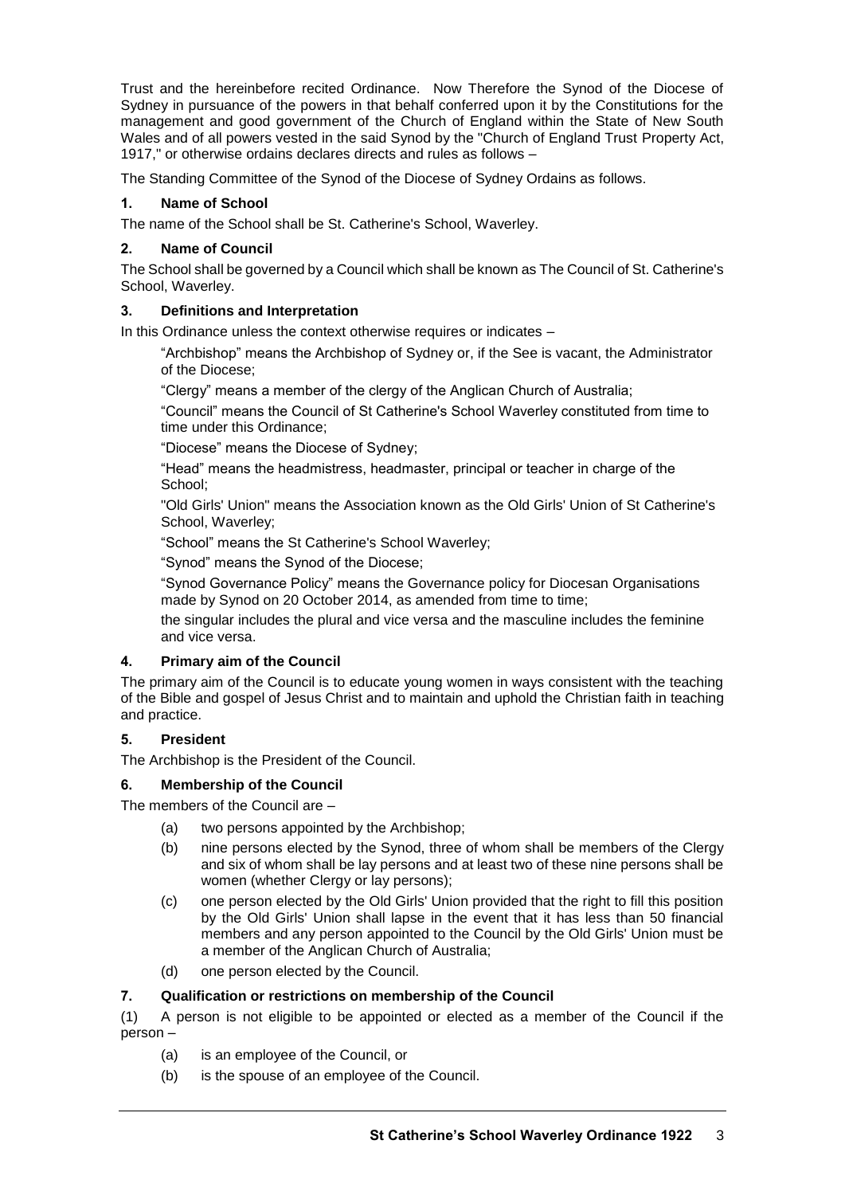Trust and the hereinbefore recited Ordinance. Now Therefore the Synod of the Diocese of Sydney in pursuance of the powers in that behalf conferred upon it by the Constitutions for the management and good government of the Church of England within the State of New South Wales and of all powers vested in the said Synod by the "Church of England Trust Property Act, 1917," or otherwise ordains declares directs and rules as follows –

The Standing Committee of the Synod of the Diocese of Sydney Ordains as follows.

# **1. Name of School**

The name of the School shall be St. Catherine's School, Waverley.

# **2. Name of Council**

The School shall be governed by a Council which shall be known as The Council of St. Catherine's School, Waverley.

## **3. Definitions and Interpretation**

In this Ordinance unless the context otherwise requires or indicates –

"Archbishop" means the Archbishop of Sydney or, if the See is vacant, the Administrator of the Diocese;

"Clergy" means a member of the clergy of the Anglican Church of Australia;

"Council" means the Council of St Catherine's School Waverley constituted from time to time under this Ordinance;

"Diocese" means the Diocese of Sydney;

"Head" means the headmistress, headmaster, principal or teacher in charge of the School;

"Old Girls' Union" means the Association known as the Old Girls' Union of St Catherine's School, Waverley;

"School" means the St Catherine's School Waverley;

"Synod" means the Synod of the Diocese;

"Synod Governance Policy" means the Governance policy for Diocesan Organisations made by Synod on 20 October 2014, as amended from time to time;

the singular includes the plural and vice versa and the masculine includes the feminine and vice versa.

## **4. Primary aim of the Council**

The primary aim of the Council is to educate young women in ways consistent with the teaching of the Bible and gospel of Jesus Christ and to maintain and uphold the Christian faith in teaching and practice.

## **5. President**

The Archbishop is the President of the Council.

## **6. Membership of the Council**

The members of the Council are –

- (a) two persons appointed by the Archbishop;
- (b) nine persons elected by the Synod, three of whom shall be members of the Clergy and six of whom shall be lay persons and at least two of these nine persons shall be women (whether Clergy or lay persons);
- (c) one person elected by the Old Girls' Union provided that the right to fill this position by the Old Girls' Union shall lapse in the event that it has less than 50 financial members and any person appointed to the Council by the Old Girls' Union must be a member of the Anglican Church of Australia;
- (d) one person elected by the Council.

## **7. Qualification or restrictions on membership of the Council**

(1) A person is not eligible to be appointed or elected as a member of the Council if the person –

- (a) is an employee of the Council, or
- (b) is the spouse of an employee of the Council.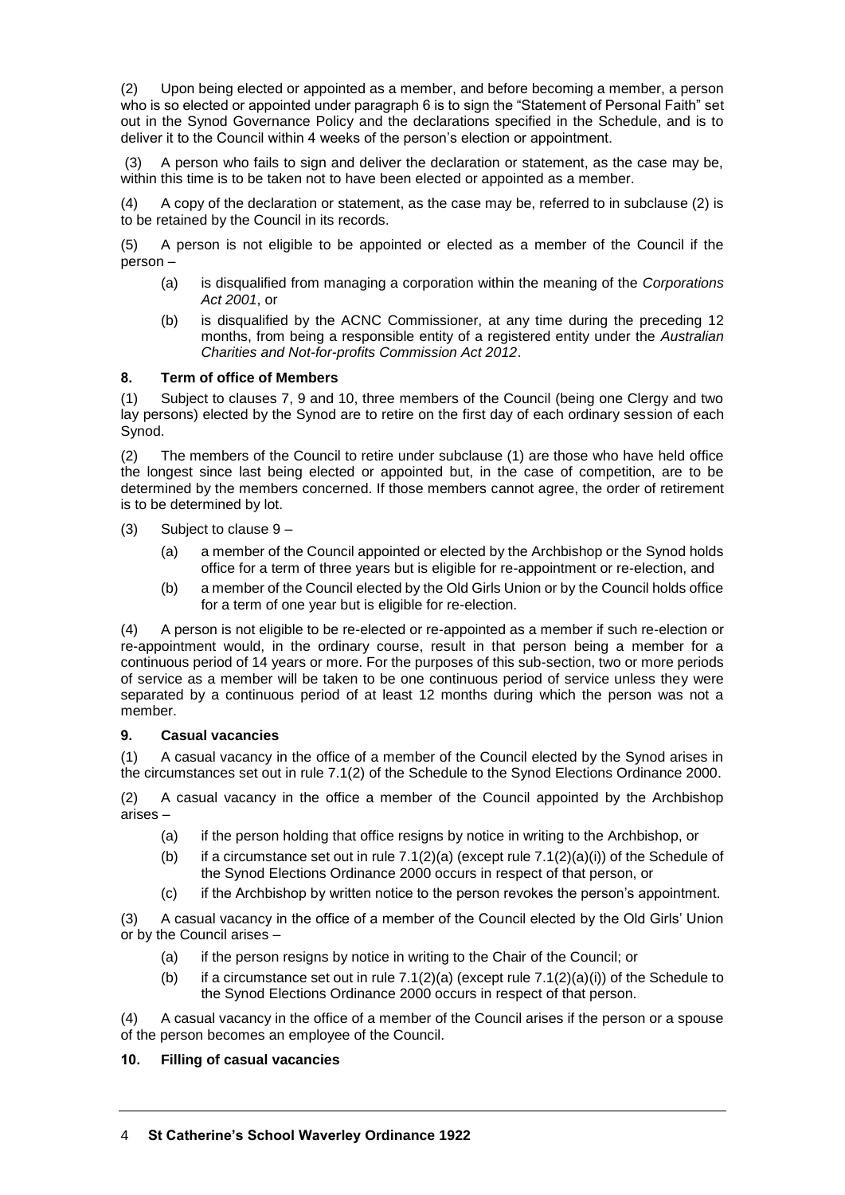(2) Upon being elected or appointed as a member, and before becoming a member, a person who is so elected or appointed under paragraph 6 is to sign the "Statement of Personal Faith" set out in the Synod Governance Policy and the declarations specified in the Schedule, and is to deliver it to the Council within 4 weeks of the person's election or appointment.

(3) A person who fails to sign and deliver the declaration or statement, as the case may be, within this time is to be taken not to have been elected or appointed as a member.

(4) A copy of the declaration or statement, as the case may be, referred to in subclause (2) is to be retained by the Council in its records.

(5) A person is not eligible to be appointed or elected as a member of the Council if the person –

- (a) is disqualified from managing a corporation within the meaning of the *Corporations Act 2001*, or
- (b) is disqualified by the ACNC Commissioner, at any time during the preceding 12 months, from being a responsible entity of a registered entity under the *Australian Charities and Not-for-profits Commission Act 2012*.

## **8. Term of office of Members**

(1) Subject to clauses 7, 9 and 10, three members of the Council (being one Clergy and two lay persons) elected by the Synod are to retire on the first day of each ordinary session of each Synod.

(2) The members of the Council to retire under subclause (1) are those who have held office the longest since last being elected or appointed but, in the case of competition, are to be determined by the members concerned. If those members cannot agree, the order of retirement is to be determined by lot.

(3) Subject to clause 9 –

- (a) a member of the Council appointed or elected by the Archbishop or the Synod holds office for a term of three years but is eligible for re-appointment or re-election, and
- (b) a member of the Council elected by the Old Girls Union or by the Council holds office for a term of one year but is eligible for re-election.

(4) A person is not eligible to be re-elected or re-appointed as a member if such re-election or re-appointment would, in the ordinary course, result in that person being a member for a continuous period of 14 years or more. For the purposes of this sub-section, two or more periods of service as a member will be taken to be one continuous period of service unless they were separated by a continuous period of at least 12 months during which the person was not a member.

# **9. Casual vacancies**

(1) A casual vacancy in the office of a member of the Council elected by the Synod arises in the circumstances set out in rule 7.1(2) of the Schedule to the Synod Elections Ordinance 2000.

(2) A casual vacancy in the office a member of the Council appointed by the Archbishop arises –

- (a) if the person holding that office resigns by notice in writing to the Archbishop, or
- (b) if a circumstance set out in rule  $7.1(2)(a)$  (except rule  $7.1(2)(a)(i)$ ) of the Schedule of the Synod Elections Ordinance 2000 occurs in respect of that person, or
- (c) if the Archbishop by written notice to the person revokes the person's appointment.

(3) A casual vacancy in the office of a member of the Council elected by the Old Girls' Union or by the Council arises –

- (a) if the person resigns by notice in writing to the Chair of the Council; or
- (b) if a circumstance set out in rule  $7.1(2)(a)$  (except rule  $7.1(2)(a)(i)$ ) of the Schedule to the Synod Elections Ordinance 2000 occurs in respect of that person.

(4) A casual vacancy in the office of a member of the Council arises if the person or a spouse of the person becomes an employee of the Council.

## **10. Filling of casual vacancies**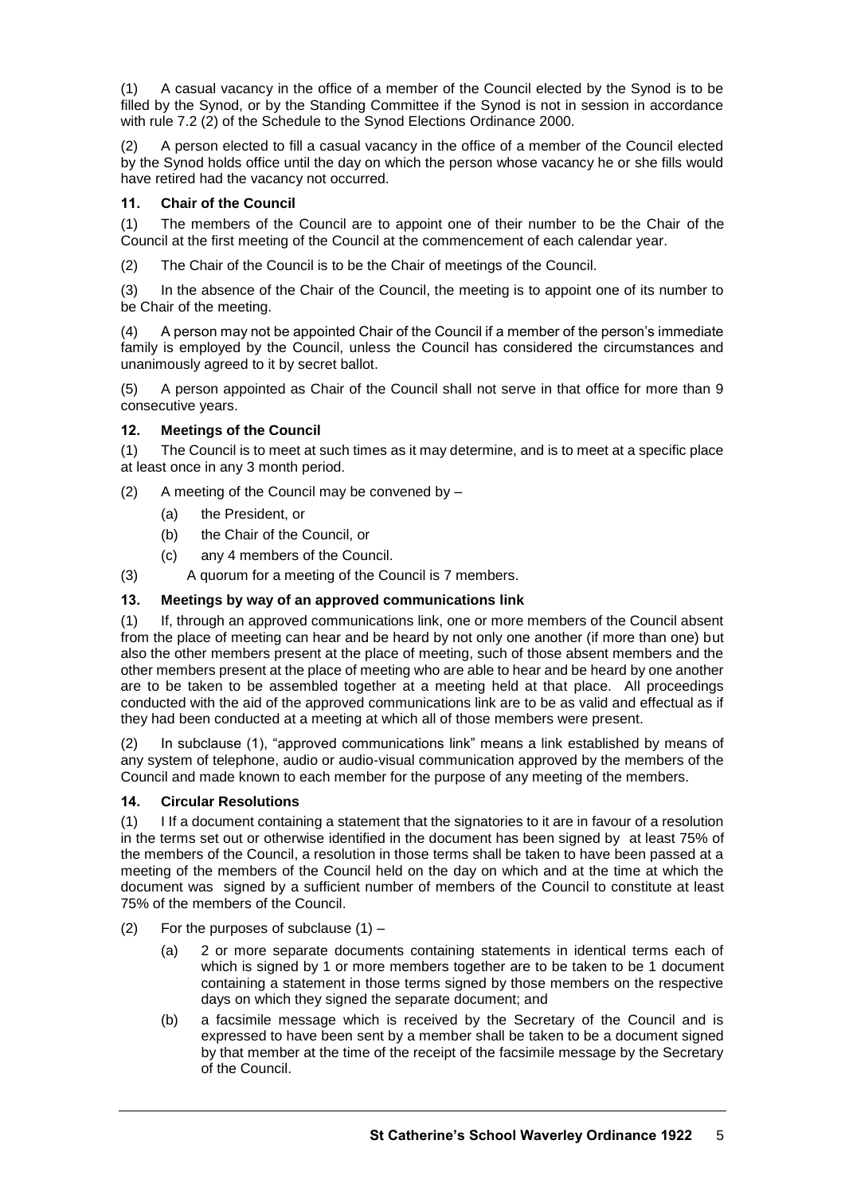(1) A casual vacancy in the office of a member of the Council elected by the Synod is to be filled by the Synod, or by the Standing Committee if the Synod is not in session in accordance with rule 7.2 (2) of the Schedule to the Synod Elections Ordinance 2000.

(2) A person elected to fill a casual vacancy in the office of a member of the Council elected by the Synod holds office until the day on which the person whose vacancy he or she fills would have retired had the vacancy not occurred.

# **11. Chair of the Council**

(1) The members of the Council are to appoint one of their number to be the Chair of the Council at the first meeting of the Council at the commencement of each calendar year.

(2) The Chair of the Council is to be the Chair of meetings of the Council.

(3) In the absence of the Chair of the Council, the meeting is to appoint one of its number to be Chair of the meeting.

(4) A person may not be appointed Chair of the Council if a member of the person's immediate family is employed by the Council, unless the Council has considered the circumstances and unanimously agreed to it by secret ballot.

(5) A person appointed as Chair of the Council shall not serve in that office for more than 9 consecutive years.

# **12. Meetings of the Council**

(1) The Council is to meet at such times as it may determine, and is to meet at a specific place at least once in any 3 month period.

(2) A meeting of the Council may be convened by  $-$ 

- (a) the President, or
- (b) the Chair of the Council, or
- (c) any 4 members of the Council.
- (3) A quorum for a meeting of the Council is 7 members.

# **13. Meetings by way of an approved communications link**

(1) If, through an approved communications link, one or more members of the Council absent from the place of meeting can hear and be heard by not only one another (if more than one) but also the other members present at the place of meeting, such of those absent members and the other members present at the place of meeting who are able to hear and be heard by one another are to be taken to be assembled together at a meeting held at that place. All proceedings conducted with the aid of the approved communications link are to be as valid and effectual as if they had been conducted at a meeting at which all of those members were present.

(2) In subclause (1), "approved communications link" means a link established by means of any system of telephone, audio or audio-visual communication approved by the members of the Council and made known to each member for the purpose of any meeting of the members.

## **14. Circular Resolutions**

(1) I If a document containing a statement that the signatories to it are in favour of a resolution in the terms set out or otherwise identified in the document has been signed by at least 75% of the members of the Council, a resolution in those terms shall be taken to have been passed at a meeting of the members of the Council held on the day on which and at the time at which the document was signed by a sufficient number of members of the Council to constitute at least 75% of the members of the Council.

- (2) For the purposes of subclause  $(1)$ 
	- (a) 2 or more separate documents containing statements in identical terms each of which is signed by 1 or more members together are to be taken to be 1 document containing a statement in those terms signed by those members on the respective days on which they signed the separate document; and
	- (b) a facsimile message which is received by the Secretary of the Council and is expressed to have been sent by a member shall be taken to be a document signed by that member at the time of the receipt of the facsimile message by the Secretary of the Council.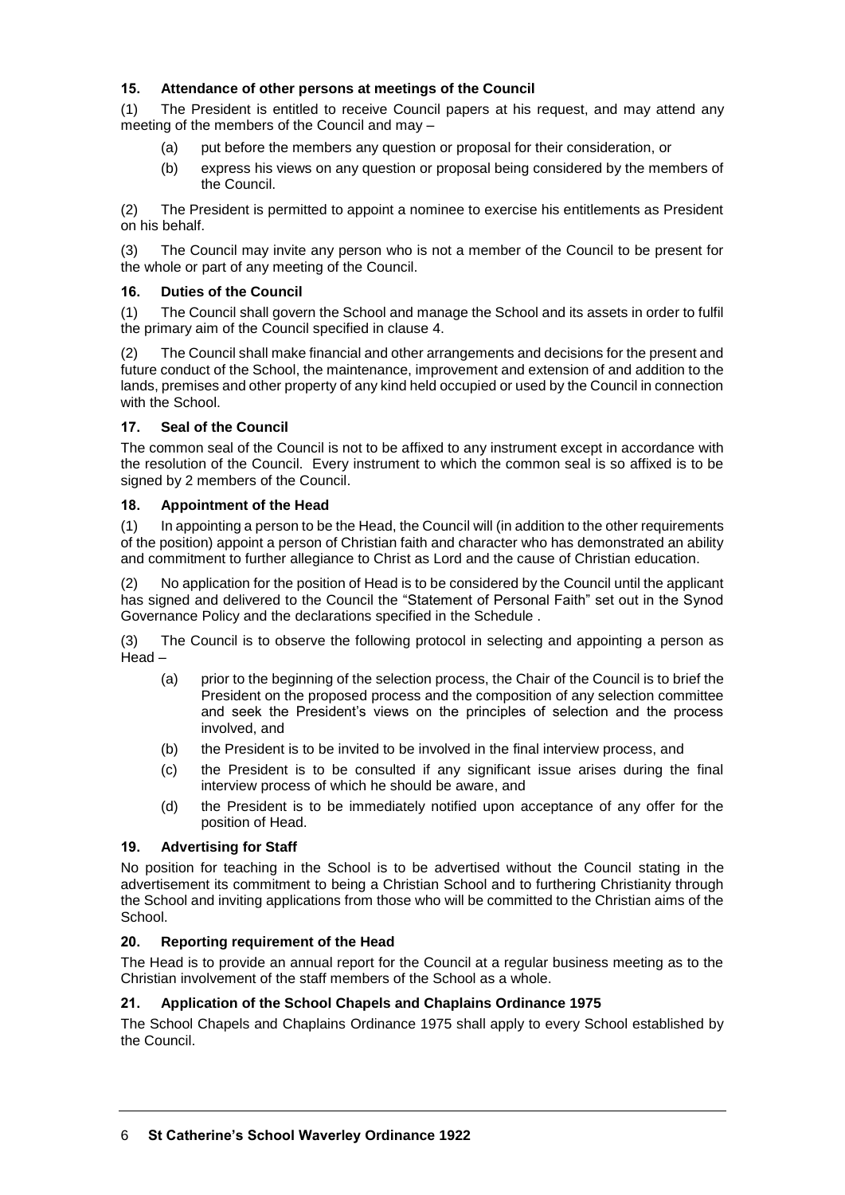# **15. Attendance of other persons at meetings of the Council**

(1) The President is entitled to receive Council papers at his request, and may attend any meeting of the members of the Council and may –

- (a) put before the members any question or proposal for their consideration, or
- (b) express his views on any question or proposal being considered by the members of the Council.

(2) The President is permitted to appoint a nominee to exercise his entitlements as President on his behalf.

(3) The Council may invite any person who is not a member of the Council to be present for the whole or part of any meeting of the Council.

# **16. Duties of the Council**

(1) The Council shall govern the School and manage the School and its assets in order to fulfil the primary aim of the Council specified in clause 4.

(2) The Council shall make financial and other arrangements and decisions for the present and future conduct of the School, the maintenance, improvement and extension of and addition to the lands, premises and other property of any kind held occupied or used by the Council in connection with the School.

# **17. Seal of the Council**

The common seal of the Council is not to be affixed to any instrument except in accordance with the resolution of the Council. Every instrument to which the common seal is so affixed is to be signed by 2 members of the Council.

## **18. Appointment of the Head**

(1) In appointing a person to be the Head, the Council will (in addition to the other requirements of the position) appoint a person of Christian faith and character who has demonstrated an ability and commitment to further allegiance to Christ as Lord and the cause of Christian education.

(2) No application for the position of Head is to be considered by the Council until the applicant has signed and delivered to the Council the "Statement of Personal Faith" set out in the Synod Governance Policy and the declarations specified in the Schedule .

(3) The Council is to observe the following protocol in selecting and appointing a person as Head –

- (a) prior to the beginning of the selection process, the Chair of the Council is to brief the President on the proposed process and the composition of any selection committee and seek the President's views on the principles of selection and the process involved, and
- (b) the President is to be invited to be involved in the final interview process, and
- (c) the President is to be consulted if any significant issue arises during the final interview process of which he should be aware, and
- (d) the President is to be immediately notified upon acceptance of any offer for the position of Head.

## **19. Advertising for Staff**

No position for teaching in the School is to be advertised without the Council stating in the advertisement its commitment to being a Christian School and to furthering Christianity through the School and inviting applications from those who will be committed to the Christian aims of the School.

## **20. Reporting requirement of the Head**

The Head is to provide an annual report for the Council at a regular business meeting as to the Christian involvement of the staff members of the School as a whole.

## **21. Application of the School Chapels and Chaplains Ordinance 1975**

The School Chapels and Chaplains Ordinance 1975 shall apply to every School established by the Council.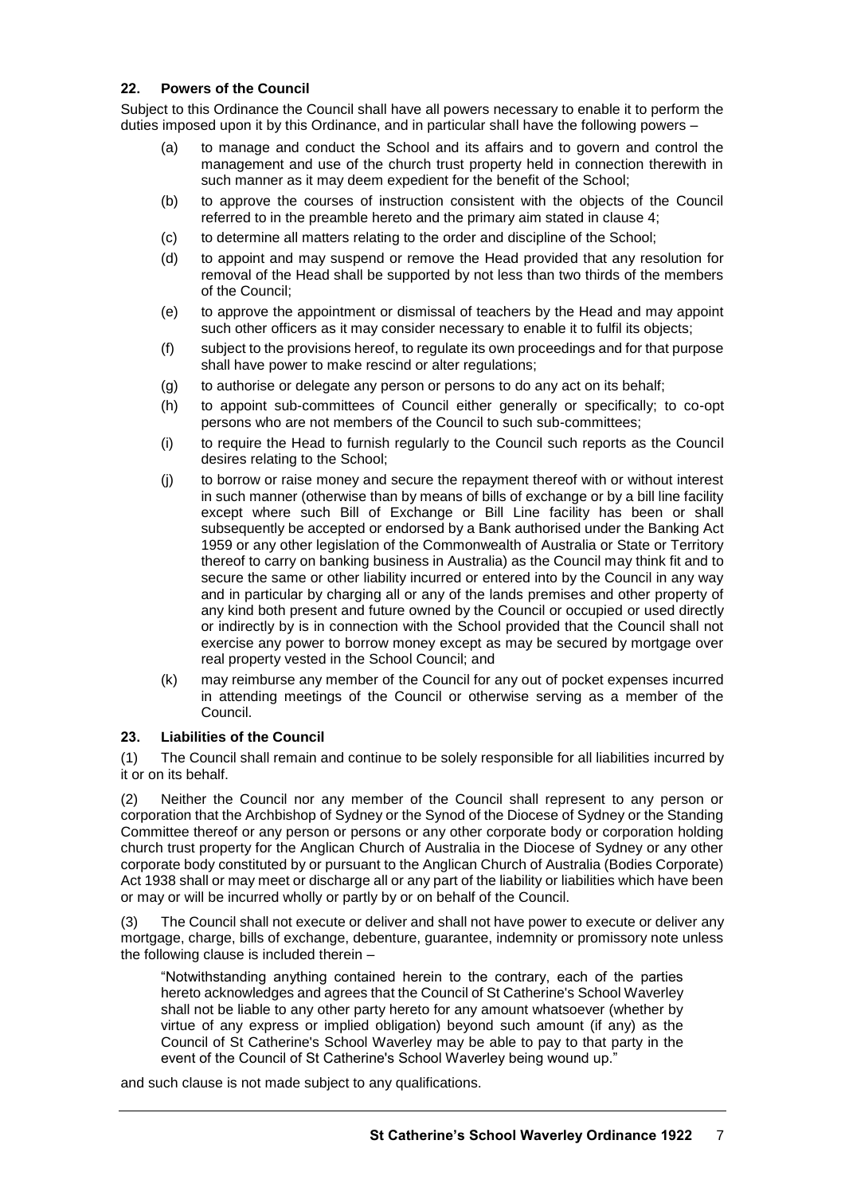## **22. Powers of the Council**

Subject to this Ordinance the Council shall have all powers necessary to enable it to perform the duties imposed upon it by this Ordinance, and in particular shall have the following powers –

- (a) to manage and conduct the School and its affairs and to govern and control the management and use of the church trust property held in connection therewith in such manner as it may deem expedient for the benefit of the School;
- (b) to approve the courses of instruction consistent with the objects of the Council referred to in the preamble hereto and the primary aim stated in clause 4;
- (c) to determine all matters relating to the order and discipline of the School;
- (d) to appoint and may suspend or remove the Head provided that any resolution for removal of the Head shall be supported by not less than two thirds of the members of the Council;
- (e) to approve the appointment or dismissal of teachers by the Head and may appoint such other officers as it may consider necessary to enable it to fulfil its objects;
- (f) subject to the provisions hereof, to regulate its own proceedings and for that purpose shall have power to make rescind or alter regulations;
- (g) to authorise or delegate any person or persons to do any act on its behalf;
- (h) to appoint sub-committees of Council either generally or specifically; to co-opt persons who are not members of the Council to such sub-committees;
- (i) to require the Head to furnish regularly to the Council such reports as the Council desires relating to the School;
- (j) to borrow or raise money and secure the repayment thereof with or without interest in such manner (otherwise than by means of bills of exchange or by a bill line facility except where such Bill of Exchange or Bill Line facility has been or shall subsequently be accepted or endorsed by a Bank authorised under the Banking Act 1959 or any other legislation of the Commonwealth of Australia or State or Territory thereof to carry on banking business in Australia) as the Council may think fit and to secure the same or other liability incurred or entered into by the Council in any way and in particular by charging all or any of the lands premises and other property of any kind both present and future owned by the Council or occupied or used directly or indirectly by is in connection with the School provided that the Council shall not exercise any power to borrow money except as may be secured by mortgage over real property vested in the School Council; and
- (k) may reimburse any member of the Council for any out of pocket expenses incurred in attending meetings of the Council or otherwise serving as a member of the Council.

## **23. Liabilities of the Council**

(1) The Council shall remain and continue to be solely responsible for all liabilities incurred by it or on its behalf.

(2) Neither the Council nor any member of the Council shall represent to any person or corporation that the Archbishop of Sydney or the Synod of the Diocese of Sydney or the Standing Committee thereof or any person or persons or any other corporate body or corporation holding church trust property for the Anglican Church of Australia in the Diocese of Sydney or any other corporate body constituted by or pursuant to the Anglican Church of Australia (Bodies Corporate) Act 1938 shall or may meet or discharge all or any part of the liability or liabilities which have been or may or will be incurred wholly or partly by or on behalf of the Council.

(3) The Council shall not execute or deliver and shall not have power to execute or deliver any mortgage, charge, bills of exchange, debenture, guarantee, indemnity or promissory note unless the following clause is included therein –

"Notwithstanding anything contained herein to the contrary, each of the parties hereto acknowledges and agrees that the Council of St Catherine's School Waverley shall not be liable to any other party hereto for any amount whatsoever (whether by virtue of any express or implied obligation) beyond such amount (if any) as the Council of St Catherine's School Waverley may be able to pay to that party in the event of the Council of St Catherine's School Waverley being wound up."

and such clause is not made subject to any qualifications.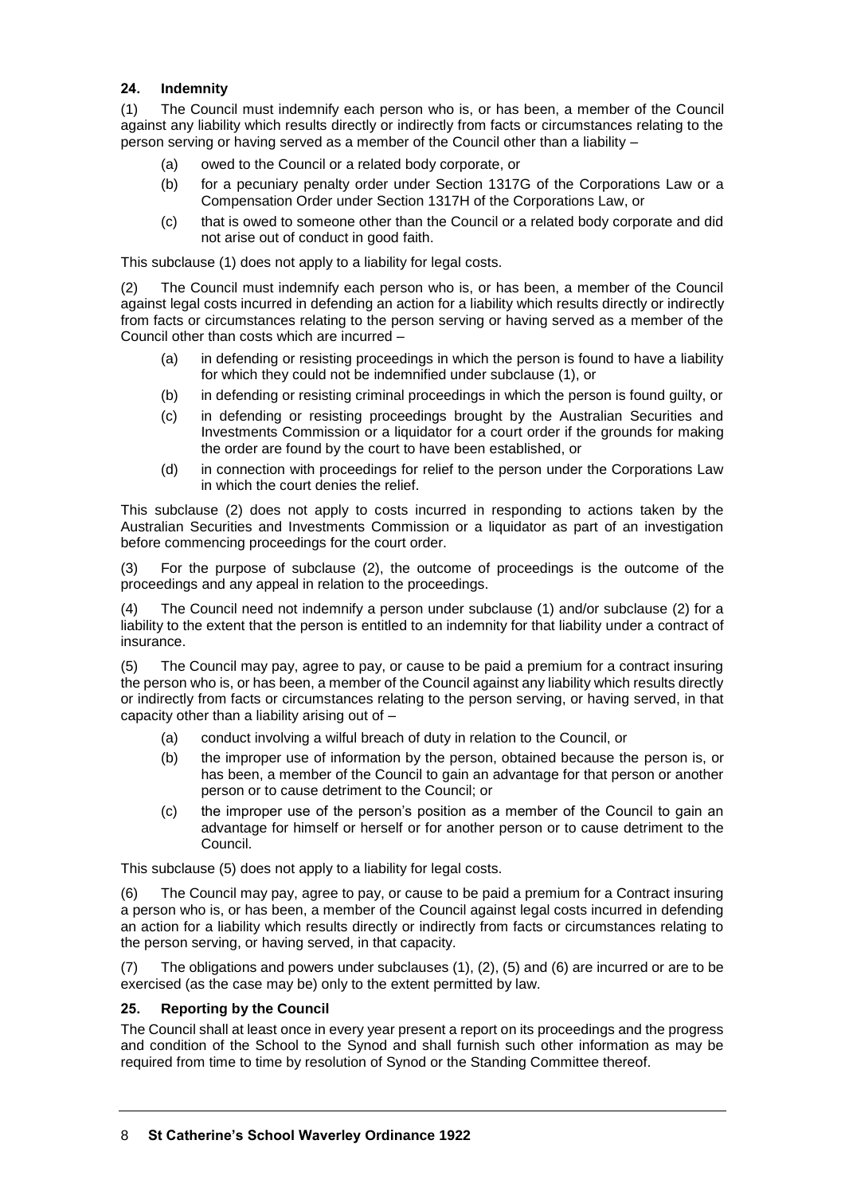# **24. Indemnity**

(1) The Council must indemnify each person who is, or has been, a member of the Council against any liability which results directly or indirectly from facts or circumstances relating to the person serving or having served as a member of the Council other than a liability –

- (a) owed to the Council or a related body corporate, or
- (b) for a pecuniary penalty order under Section 1317G of the Corporations Law or a Compensation Order under Section 1317H of the Corporations Law, or
- (c) that is owed to someone other than the Council or a related body corporate and did not arise out of conduct in good faith.

This subclause (1) does not apply to a liability for legal costs.

(2) The Council must indemnify each person who is, or has been, a member of the Council against legal costs incurred in defending an action for a liability which results directly or indirectly from facts or circumstances relating to the person serving or having served as a member of the Council other than costs which are incurred –

- (a) in defending or resisting proceedings in which the person is found to have a liability for which they could not be indemnified under subclause (1), or
- (b) in defending or resisting criminal proceedings in which the person is found guilty, or
- (c) in defending or resisting proceedings brought by the Australian Securities and Investments Commission or a liquidator for a court order if the grounds for making the order are found by the court to have been established, or
- (d) in connection with proceedings for relief to the person under the Corporations Law in which the court denies the relief.

This subclause (2) does not apply to costs incurred in responding to actions taken by the Australian Securities and Investments Commission or a liquidator as part of an investigation before commencing proceedings for the court order.

(3) For the purpose of subclause (2), the outcome of proceedings is the outcome of the proceedings and any appeal in relation to the proceedings.

(4) The Council need not indemnify a person under subclause (1) and/or subclause (2) for a liability to the extent that the person is entitled to an indemnity for that liability under a contract of insurance.

(5) The Council may pay, agree to pay, or cause to be paid a premium for a contract insuring the person who is, or has been, a member of the Council against any liability which results directly or indirectly from facts or circumstances relating to the person serving, or having served, in that capacity other than a liability arising out of –

- (a) conduct involving a wilful breach of duty in relation to the Council, or
- (b) the improper use of information by the person, obtained because the person is, or has been, a member of the Council to gain an advantage for that person or another person or to cause detriment to the Council; or
- (c) the improper use of the person's position as a member of the Council to gain an advantage for himself or herself or for another person or to cause detriment to the Council.

This subclause (5) does not apply to a liability for legal costs.

(6) The Council may pay, agree to pay, or cause to be paid a premium for a Contract insuring a person who is, or has been, a member of the Council against legal costs incurred in defending an action for a liability which results directly or indirectly from facts or circumstances relating to the person serving, or having served, in that capacity.

(7) The obligations and powers under subclauses (1), (2), (5) and (6) are incurred or are to be exercised (as the case may be) only to the extent permitted by law.

## **25. Reporting by the Council**

The Council shall at least once in every year present a report on its proceedings and the progress and condition of the School to the Synod and shall furnish such other information as may be required from time to time by resolution of Synod or the Standing Committee thereof.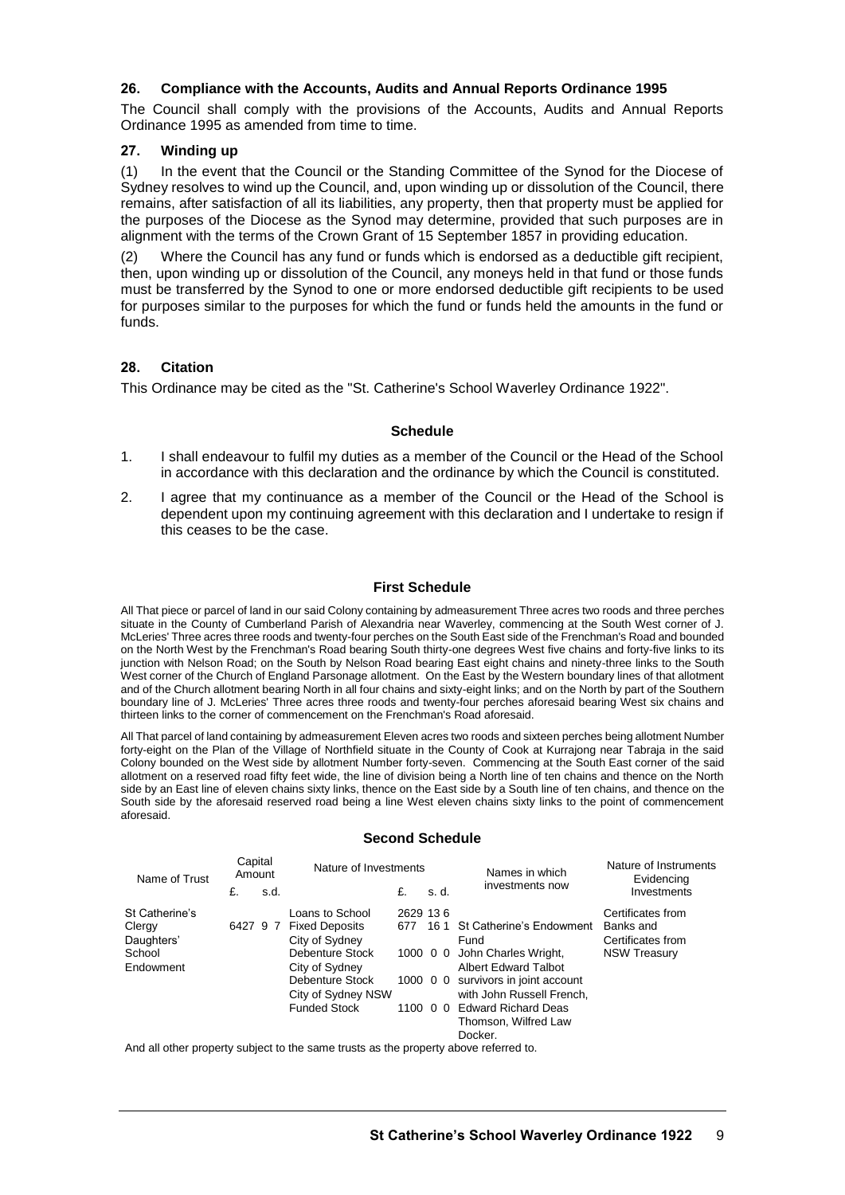## **26. Compliance with the Accounts, Audits and Annual Reports Ordinance 1995**

The Council shall comply with the provisions of the Accounts, Audits and Annual Reports Ordinance 1995 as amended from time to time.

# **27. Winding up**

(1) In the event that the Council or the Standing Committee of the Synod for the Diocese of Sydney resolves to wind up the Council, and, upon winding up or dissolution of the Council, there remains, after satisfaction of all its liabilities, any property, then that property must be applied for the purposes of the Diocese as the Synod may determine, provided that such purposes are in alignment with the terms of the Crown Grant of 15 September 1857 in providing education.

(2) Where the Council has any fund or funds which is endorsed as a deductible gift recipient, then, upon winding up or dissolution of the Council, any moneys held in that fund or those funds must be transferred by the Synod to one or more endorsed deductible gift recipients to be used for purposes similar to the purposes for which the fund or funds held the amounts in the fund or funds.

## **28. Citation**

This Ordinance may be cited as the "St. Catherine's School Waverley Ordinance 1922".

#### **Schedule**

- 1. I shall endeavour to fulfil my duties as a member of the Council or the Head of the School in accordance with this declaration and the ordinance by which the Council is constituted.
- 2. I agree that my continuance as a member of the Council or the Head of the School is dependent upon my continuing agreement with this declaration and I undertake to resign if this ceases to be the case.

#### **First Schedule**

All That piece or parcel of land in our said Colony containing by admeasurement Three acres two roods and three perches situate in the County of Cumberland Parish of Alexandria near Waverley, commencing at the South West corner of J. McLeries' Three acres three roods and twenty-four perches on the South East side of the Frenchman's Road and bounded on the North West by the Frenchman's Road bearing South thirty-one degrees West five chains and forty-five links to its junction with Nelson Road; on the South by Nelson Road bearing East eight chains and ninety-three links to the South West corner of the Church of England Parsonage allotment. On the East by the Western boundary lines of that allotment and of the Church allotment bearing North in all four chains and sixty-eight links; and on the North by part of the Southern boundary line of J. McLeries' Three acres three roods and twenty-four perches aforesaid bearing West six chains and thirteen links to the corner of commencement on the Frenchman's Road aforesaid.

All That parcel of land containing by admeasurement Eleven acres two roods and sixteen perches being allotment Number forty-eight on the Plan of the Village of Northfield situate in the County of Cook at Kurrajong near Tabraja in the said Colony bounded on the West side by allotment Number forty-seven. Commencing at the South East corner of the said allotment on a reserved road fifty feet wide, the line of division being a North line of ten chains and thence on the North side by an East line of eleven chains sixty links, thence on the East side by a South line of ten chains, and thence on the South side by the aforesaid reserved road being a line West eleven chains sixty links to the point of commencement aforesaid.

#### **Second Schedule**

| Capital<br>Amount |      | Nature of Investments |                         | Names in which     | Nature of Instruments<br>Evidencing |                                                                                                                                                              |
|-------------------|------|-----------------------|-------------------------|--------------------|-------------------------------------|--------------------------------------------------------------------------------------------------------------------------------------------------------------|
| £.                | s.d. |                       | £.                      | .s d.              |                                     | Investments                                                                                                                                                  |
|                   |      | Loans to School       |                         |                    |                                     | Certificates from                                                                                                                                            |
|                   |      |                       |                         |                    |                                     | Banks and                                                                                                                                                    |
|                   |      | City of Sydney        |                         |                    | Fund                                | Certificates from                                                                                                                                            |
|                   |      | Debenture Stock       |                         |                    |                                     | <b>NSW Treasury</b>                                                                                                                                          |
|                   |      | City of Sydney        |                         |                    | <b>Albert Edward Talbot</b>         |                                                                                                                                                              |
|                   |      | Debenture Stock       |                         |                    |                                     |                                                                                                                                                              |
|                   |      |                       |                         |                    | with John Russell French,           |                                                                                                                                                              |
|                   |      | <b>Funded Stock</b>   |                         |                    |                                     |                                                                                                                                                              |
|                   |      |                       |                         |                    | Thomson, Wilfred Law                |                                                                                                                                                              |
|                   |      |                       |                         |                    | Docker.                             |                                                                                                                                                              |
|                   |      |                       | 6427 9 7 Fixed Deposits | City of Sydney NSW | 2629 136                            | investments now<br>677 16 1 St Catherine's Endowment<br>1000 0 0 John Charles Wright,<br>1000 0 0 survivors in joint account<br>1100 0 0 Edward Richard Deas |

And all other property subject to the same trusts as the property above referred to.